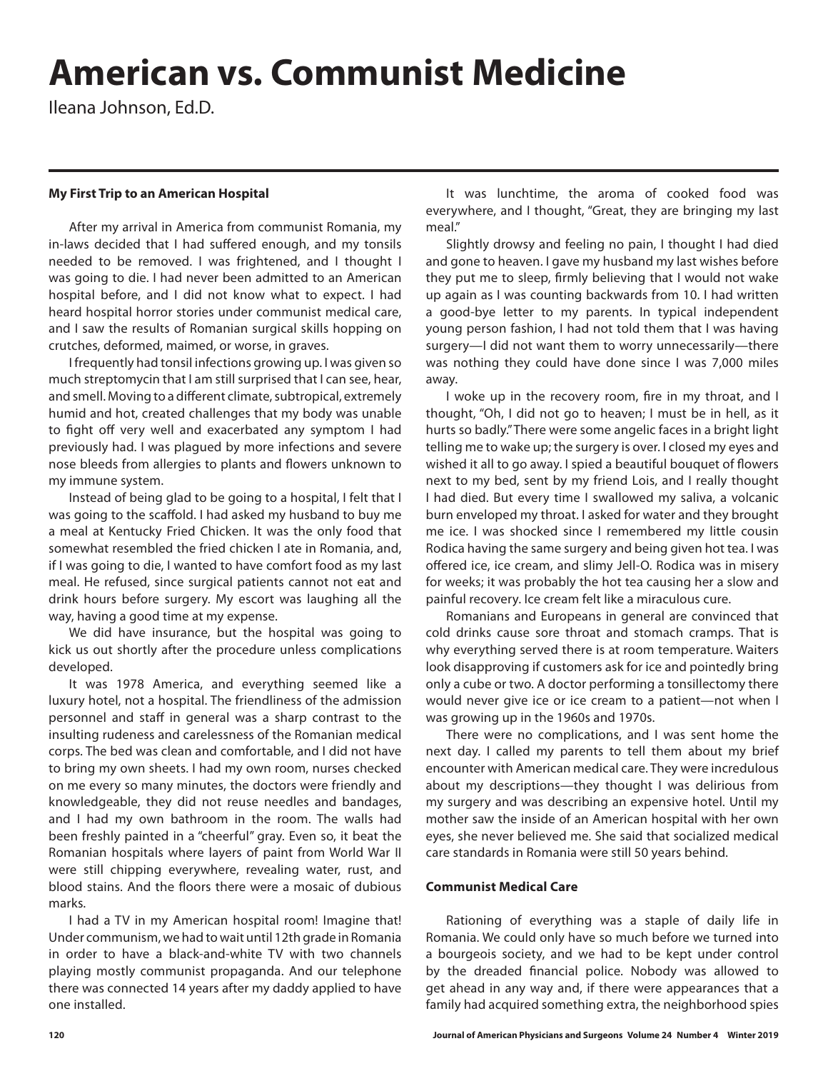# **American vs. Communist Medicine**

Ileana Johnson, Ed.D.

### **My First Trip to an American Hospital**

After my arrival in America from communist Romania, my in-laws decided that I had suffered enough, and my tonsils needed to be removed. I was frightened, and I thought I was going to die. I had never been admitted to an American hospital before, and I did not know what to expect. I had heard hospital horror stories under communist medical care, and I saw the results of Romanian surgical skills hopping on crutches, deformed, maimed, or worse, in graves.

I frequently had tonsil infections growing up. I was given so much streptomycin that I am still surprised that I can see, hear, and smell. Moving to a different climate, subtropical, extremely humid and hot, created challenges that my body was unable to fight off very well and exacerbated any symptom I had previously had. I was plagued by more infections and severe nose bleeds from allergies to plants and flowers unknown to my immune system.

Instead of being glad to be going to a hospital, I felt that I was going to the scaffold. I had asked my husband to buy me a meal at Kentucky Fried Chicken. It was the only food that somewhat resembled the fried chicken I ate in Romania, and, if I was going to die, I wanted to have comfort food as my last meal. He refused, since surgical patients cannot not eat and drink hours before surgery. My escort was laughing all the way, having a good time at my expense.

We did have insurance, but the hospital was going to kick us out shortly after the procedure unless complications developed.

It was 1978 America, and everything seemed like a luxury hotel, not a hospital. The friendliness of the admission personnel and staff in general was a sharp contrast to the insulting rudeness and carelessness of the Romanian medical corps. The bed was clean and comfortable, and I did not have to bring my own sheets. I had my own room, nurses checked on me every so many minutes, the doctors were friendly and knowledgeable, they did not reuse needles and bandages, and I had my own bathroom in the room. The walls had been freshly painted in a "cheerful" gray. Even so, it beat the Romanian hospitals where layers of paint from World War II were still chipping everywhere, revealing water, rust, and blood stains. And the floors there were a mosaic of dubious marks.

I had a TV in my American hospital room! Imagine that! Under communism, we had to wait until 12th grade in Romania in order to have a black-and-white TV with two channels playing mostly communist propaganda. And our telephone there was connected 14 years after my daddy applied to have one installed.

It was lunchtime, the aroma of cooked food was everywhere, and I thought, "Great, they are bringing my last meal."

Slightly drowsy and feeling no pain, I thought I had died and gone to heaven. I gave my husband my last wishes before they put me to sleep, firmly believing that I would not wake up again as I was counting backwards from 10. I had written a good-bye letter to my parents. In typical independent young person fashion, I had not told them that I was having surgery—I did not want them to worry unnecessarily—there was nothing they could have done since I was 7,000 miles away.

I woke up in the recovery room, fire in my throat, and I thought, "Oh, I did not go to heaven; I must be in hell, as it hurts so badly." There were some angelic faces in a bright light telling me to wake up; the surgery is over. I closed my eyes and wished it all to go away. I spied a beautiful bouquet of flowers next to my bed, sent by my friend Lois, and I really thought I had died. But every time I swallowed my saliva, a volcanic burn enveloped my throat. I asked for water and they brought me ice. I was shocked since I remembered my little cousin Rodica having the same surgery and being given hot tea. I was offered ice, ice cream, and slimy Jell-O. Rodica was in misery for weeks; it was probably the hot tea causing her a slow and painful recovery. Ice cream felt like a miraculous cure.

Romanians and Europeans in general are convinced that cold drinks cause sore throat and stomach cramps. That is why everything served there is at room temperature. Waiters look disapproving if customers ask for ice and pointedly bring only a cube or two. A doctor performing a tonsillectomy there would never give ice or ice cream to a patient—not when I was growing up in the 1960s and 1970s.

There were no complications, and I was sent home the next day. I called my parents to tell them about my brief encounter with American medical care. They were incredulous about my descriptions—they thought I was delirious from my surgery and was describing an expensive hotel. Until my mother saw the inside of an American hospital with her own eyes, she never believed me. She said that socialized medical care standards in Romania were still 50 years behind.

#### **Communist Medical Care**

Rationing of everything was a staple of daily life in Romania. We could only have so much before we turned into a bourgeois society, and we had to be kept under control by the dreaded financial police. Nobody was allowed to get ahead in any way and, if there were appearances that a family had acquired something extra, the neighborhood spies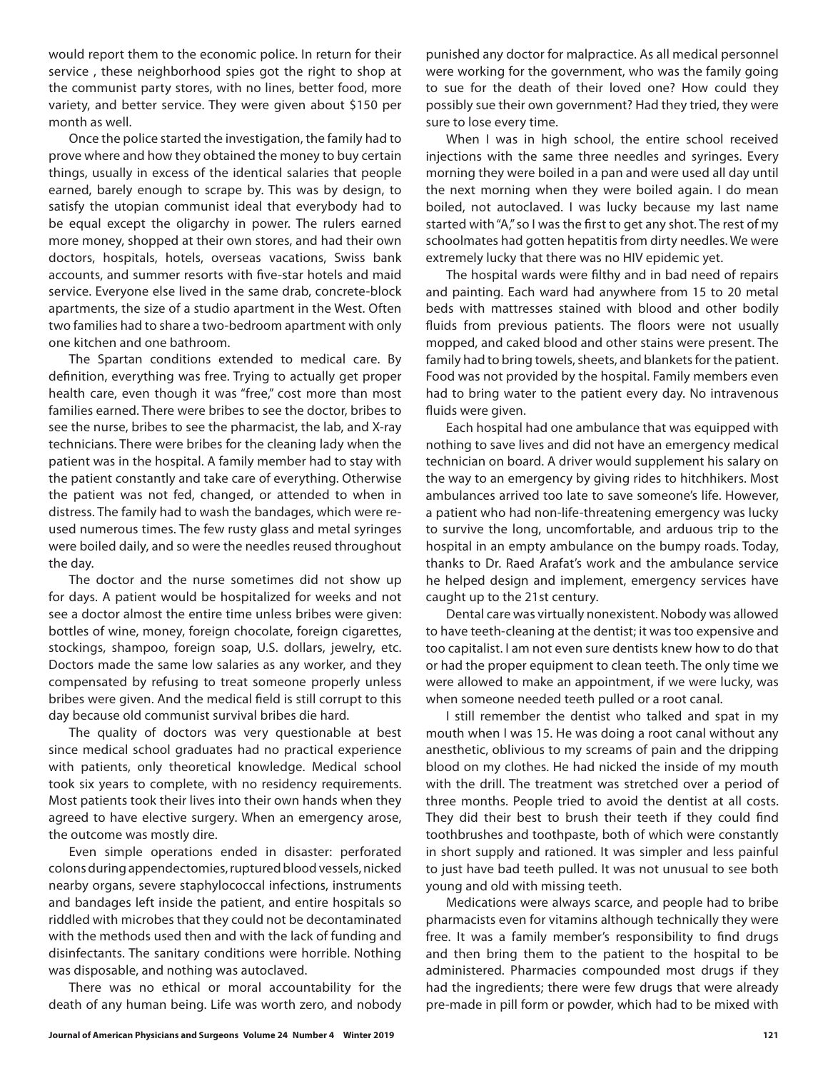would report them to the economic police. In return for their service , these neighborhood spies got the right to shop at the communist party stores, with no lines, better food, more variety, and better service. They were given about \$150 per month as well.

Once the police started the investigation, the family had to prove where and how they obtained the money to buy certain things, usually in excess of the identical salaries that people earned, barely enough to scrape by. This was by design, to satisfy the utopian communist ideal that everybody had to be equal except the oligarchy in power. The rulers earned more money, shopped at their own stores, and had their own doctors, hospitals, hotels, overseas vacations, Swiss bank accounts, and summer resorts with five-star hotels and maid service. Everyone else lived in the same drab, concrete-block apartments, the size of a studio apartment in the West. Often two families had to share a two-bedroom apartment with only one kitchen and one bathroom.

The Spartan conditions extended to medical care. By definition, everything was free. Trying to actually get proper health care, even though it was "free," cost more than most families earned. There were bribes to see the doctor, bribes to see the nurse, bribes to see the pharmacist, the lab, and X-ray technicians. There were bribes for the cleaning lady when the patient was in the hospital. A family member had to stay with the patient constantly and take care of everything. Otherwise the patient was not fed, changed, or attended to when in distress. The family had to wash the bandages, which were reused numerous times. The few rusty glass and metal syringes were boiled daily, and so were the needles reused throughout the day.

The doctor and the nurse sometimes did not show up for days. A patient would be hospitalized for weeks and not see a doctor almost the entire time unless bribes were given: bottles of wine, money, foreign chocolate, foreign cigarettes, stockings, shampoo, foreign soap, U.S. dollars, jewelry, etc. Doctors made the same low salaries as any worker, and they compensated by refusing to treat someone properly unless bribes were given. And the medical field is still corrupt to this day because old communist survival bribes die hard.

The quality of doctors was very questionable at best since medical school graduates had no practical experience with patients, only theoretical knowledge. Medical school took six years to complete, with no residency requirements. Most patients took their lives into their own hands when they agreed to have elective surgery. When an emergency arose, the outcome was mostly dire.

Even simple operations ended in disaster: perforated colons during appendectomies, ruptured blood vessels, nicked nearby organs, severe staphylococcal infections, instruments and bandages left inside the patient, and entire hospitals so riddled with microbes that they could not be decontaminated with the methods used then and with the lack of funding and disinfectants. The sanitary conditions were horrible. Nothing was disposable, and nothing was autoclaved.

There was no ethical or moral accountability for the death of any human being. Life was worth zero, and nobody punished any doctor for malpractice. As all medical personnel were working for the government, who was the family going to sue for the death of their loved one? How could they possibly sue their own government? Had they tried, they were sure to lose every time.

When I was in high school, the entire school received injections with the same three needles and syringes. Every morning they were boiled in a pan and were used all day until the next morning when they were boiled again. I do mean boiled, not autoclaved. I was lucky because my last name started with "A," so I was the first to get any shot. The rest of my schoolmates had gotten hepatitis from dirty needles. We were extremely lucky that there was no HIV epidemic yet.

The hospital wards were filthy and in bad need of repairs and painting. Each ward had anywhere from 15 to 20 metal beds with mattresses stained with blood and other bodily fluids from previous patients. The floors were not usually mopped, and caked blood and other stains were present. The family had to bring towels, sheets, and blankets for the patient. Food was not provided by the hospital. Family members even had to bring water to the patient every day. No intravenous fluids were given.

Each hospital had one ambulance that was equipped with nothing to save lives and did not have an emergency medical technician on board. A driver would supplement his salary on the way to an emergency by giving rides to hitchhikers. Most ambulances arrived too late to save someone's life. However, a patient who had non-life-threatening emergency was lucky to survive the long, uncomfortable, and arduous trip to the hospital in an empty ambulance on the bumpy roads. Today, thanks to Dr. Raed Arafat's work and the ambulance service he helped design and implement, emergency services have caught up to the 21st century.

Dental care was virtually nonexistent. Nobody was allowed to have teeth-cleaning at the dentist; it was too expensive and too capitalist. I am not even sure dentists knew how to do that or had the proper equipment to clean teeth. The only time we were allowed to make an appointment, if we were lucky, was when someone needed teeth pulled or a root canal.

I still remember the dentist who talked and spat in my mouth when I was 15. He was doing a root canal without any anesthetic, oblivious to my screams of pain and the dripping blood on my clothes. He had nicked the inside of my mouth with the drill. The treatment was stretched over a period of three months. People tried to avoid the dentist at all costs. They did their best to brush their teeth if they could find toothbrushes and toothpaste, both of which were constantly in short supply and rationed. It was simpler and less painful to just have bad teeth pulled. It was not unusual to see both young and old with missing teeth.

Medications were always scarce, and people had to bribe pharmacists even for vitamins although technically they were free. It was a family member's responsibility to find drugs and then bring them to the patient to the hospital to be administered. Pharmacies compounded most drugs if they had the ingredients; there were few drugs that were already pre-made in pill form or powder, which had to be mixed with